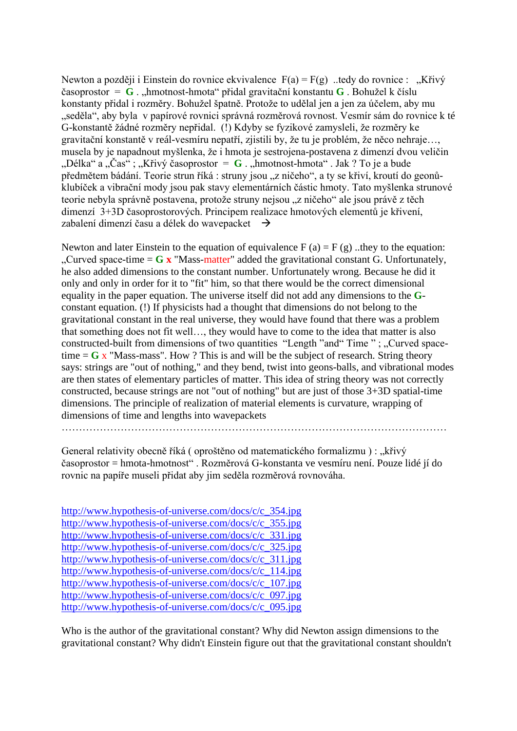Newton a později i Einstein do rovnice ekvivalence  $F(a) = F(g)$  ..tedy do rovnice : "Křivý časoprostor =  $\bf{G}$ . "hmotnost-hmota" přidal gravitační konstantu  $\bf{G}$ . Bohužel k číslu konstanty přidal i rozměry. Bohužel špatně. Protože to udělal jen a jen za účelem, aby mu "seděla", aby byla v papírové rovnici správná rozměrová rovnost. Vesmír sám do rovnice k té G-konstantě žádné rozměry nepřidal. (!) Kdyby se fyzikové zamysleli, že rozměry ke gravitační konstantě v reál-vesmíru nepatří, zjistili by, že tu je problém, že něco nehraje…, musela by je napadnout myšlenka, že i hmota je sestrojena-postavena z dimenzí dvou veličin  $\mu$ Délka" a  $\mu$ Čas" ;  $\mu$ Křivý časoprostor = **G** .  $\mu$ hmotnost-hmota" . Jak ? To je a bude předmětem bádání. Teorie strun říká : struny jsou "z ničeho", a ty se křiví, kroutí do geonůklubíček a vibrační mody jsou pak stavy elementárních částic hmoty. Tato myšlenka strunové teorie nebyla správně postavena, protože struny nejsou "z ničeho" ale jsou právě z těch dimenzí 3+3D časoprostorových. Principem realizace hmotových elementů je křivení, zabalení dimenzí času a délek do wavepacket  $\rightarrow$ 

Newton and later Einstein to the equation of equivalence  $F(a) = F(g)$ ..they to the equation: "Curved space-time  $=$   $\bf{G} \times$  "Mass-matter" added the gravitational constant G. Unfortunately, he also added dimensions to the constant number. Unfortunately wrong. Because he did it only and only in order for it to "fit" him, so that there would be the correct dimensional equality in the paper equation. The universe itself did not add any dimensions to the **G**constant equation. (!) If physicists had a thought that dimensions do not belong to the gravitational constant in the real universe, they would have found that there was a problem that something does not fit well…, they would have to come to the idea that matter is also constructed-built from dimensions of two quantities "Length "and" Time "; "Curved spacetime  $=$   **x "Mass-mass". How ? This is and will be the subject of research. String theory** says: strings are "out of nothing," and they bend, twist into geons-balls, and vibrational modes are then states of elementary particles of matter. This idea of string theory was not correctly constructed, because strings are not "out of nothing" but are just of those 3+3D spatial-time dimensions. The principle of realization of material elements is curvature, wrapping of dimensions of time and lengths into wavepackets

General relativity obecně říká ( oproštěno od matematického formalizmu ) : "křivý časoprostor = hmota-hmotnost" . Rozměrová G-konstanta ve vesmíru není. Pouze lidé jí do rovnic na papíře museli přidat aby jim seděla rozměrová rovnováha.

| http://www.hypothesis-of-universe.com/docs/c/c_354.jpg |  |
|--------------------------------------------------------|--|
| http://www.hypothesis-of-universe.com/docs/c/c_355.jpg |  |
| http://www.hypothesis-of-universe.com/docs/c/c_331.jpg |  |
| http://www.hypothesis-of-universe.com/docs/c/c_325.jpg |  |
| http://www.hypothesis-of-universe.com/docs/c/c_311.jpg |  |
| http://www.hypothesis-of-universe.com/docs/c/c_114.jpg |  |
| http://www.hypothesis-of-universe.com/docs/c/c_107.jpg |  |
| http://www.hypothesis-of-universe.com/docs/c/c_097.jpg |  |
| http://www.hypothesis-of-universe.com/docs/c/c 095.jpg |  |

Who is the author of the gravitational constant? Why did Newton assign dimensions to the gravitational constant? Why didn't Einstein figure out that the gravitational constant shouldn't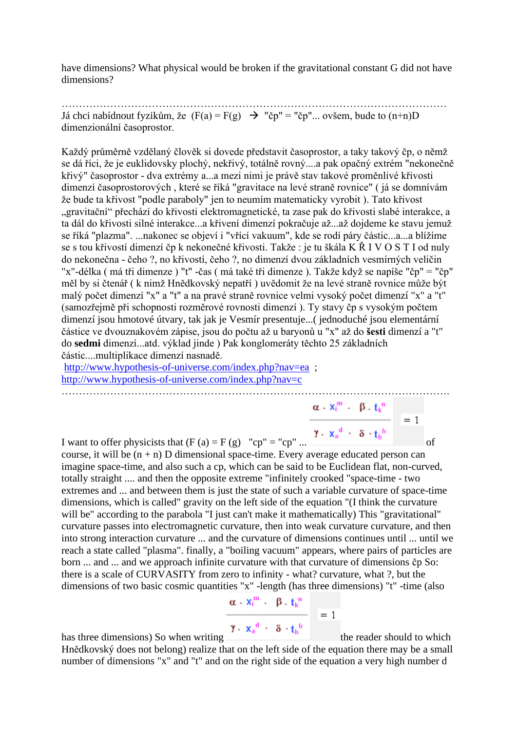have dimensions? What physical would be broken if the gravitational constant G did not have dimensions?

………………………………………………………………………………………………… Já chci nabídnout fyzikům, že  $(F(a) = F(g) \rightarrow "$ čp" = "čp"... ovšem, bude to  $(n+n)D$ dimenzionální časoprostor.

Každý průměrně vzdělaný člověk si dovede představit časoprostor, a taky takový čp, o němž se dá říci, že je euklidovsky plochý, nekřivý, totálně rovný....a pak opačný extrém "nekonečně křivý" časoprostor - dva extrémy a...a mezi nimi je právě stav takové proměnlivé křivosti dimenzí časoprostorových , které se říká "gravitace na levé straně rovnice" ( já se domnívám že bude ta křivost "podle paraboly" jen to neumím matematicky vyrobit ). Tato křivost "gravitační" přechází do křivosti elektromagnetické, ta zase pak do křivosti slabé interakce, a ta dál do křivosti silné interakce...a křivení dimenzí pokračuje až...až dojdeme ke stavu jemuž se říká "plazma". ...nakonec se objeví i "vřící vakuum", kde se rodí páry částic...a...a blížíme se s tou křivostí dimenzí čp k nekonečné křivosti. Takže : je tu škála K Ř I V O S T I od nuly do nekonečna - čeho ?, no křivostí, čeho ?, no dimenzí dvou základních vesmírných veličin "x"-délka ( má tři dimenze ) "t" -čas ( má také tři dimenze ). Takže když se napíše "čp" = "čp" měl by si čtenář ( k nimž Hnědkovský nepatří ) uvědomit že na levé straně rovnice může být malý počet dimenzí "x" a "t" a na pravé straně rovnice velmi vysoký počet dimenzí "x" a "t" (samozřejmě při schopnosti rozměrové rovnosti dimenzí ). Ty stavy čp s vysokým počtem dimenzí jsou hmotové útvary, tak jak je Vesmír presentuje...( jednoduché jsou elementární částice ve dvouznakovém zápise, jsou do počtu až u baryonů u "x" až do **šesti** dimenzí a "t" do **sedmi** dimenzí...atd. výklad jinde ) Pak konglomeráty těchto 25 základních částic....multiplikace dimenzí nasnadě.

<http://www.hypothesis-of-universe.com/index.php?nav=ea>; <http://www.hypothesis-of-universe.com/index.php?nav=c>

………………………………………………………………………………………………….

I want to offer physicists that  $(F (a) = F (g)$  "cp" = "cp" ...  $\blacksquare$ course, it will be  $(n + n)$  D dimensional space-time. Every average educated person can imagine space-time, and also such a cp, which can be said to be Euclidean flat, non-curved, totally straight .... and then the opposite extreme "infinitely crooked "space-time - two extremes and ... and between them is just the state of such a variable curvature of space-time dimensions, which is called" gravity on the left side of the equation "(I think the curvature will be" according to the parabola "I just can't make it mathematically) This "gravitational" curvature passes into electromagnetic curvature, then into weak curvature curvature, and then into strong interaction curvature ... and the curvature of dimensions continues until ... until we reach a state called "plasma". finally, a "boiling vacuum" appears, where pairs of particles are born ... and ... and we approach infinite curvature with that curvature of dimensions čp So: there is a scale of CURVASITY from zero to infinity - what? curvature, what ?, but the dimensions of two basic cosmic quantities "x" -length (has three dimensions) "t" -time (also

$$
\frac{\alpha \cdot x_i^m - \beta \cdot t_k^n}{\alpha \cdot x_i^d - x_i + h} = 1
$$

has three dimensions) So when writing  $\mathbf{I} \cdot \mathbf{x}_a^T \cdot \mathbf{\delta} \cdot \mathbf{t}_b^T$  the reader should to which

 $\alpha$  -  $x_i^m$  -  $\| \beta$  -  $t_k^{\,n}$ 

Hnědkovský does not belong) realize that on the left side of the equation there may be a small number of dimensions "x" and "t" and on the right side of the equation a very high number d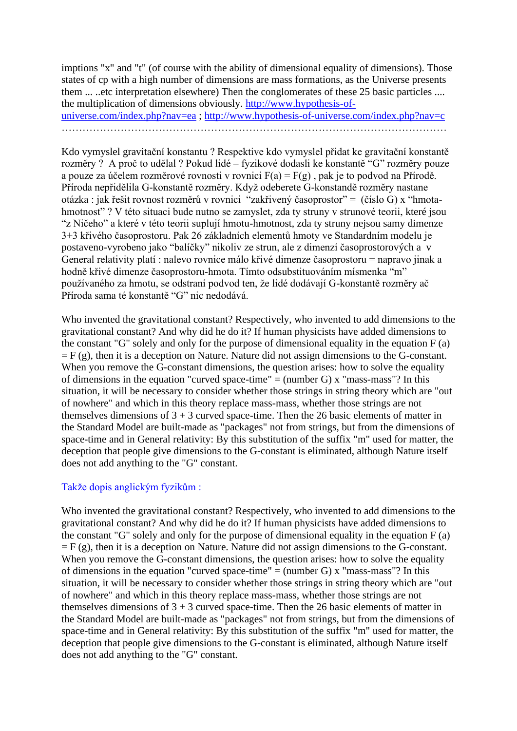imptions "x" and "t" (of course with the ability of dimensional equality of dimensions). Those states of cp with a high number of dimensions are mass formations, as the Universe presents them ... ..etc interpretation elsewhere) Then the conglomerates of these 25 basic particles .... the multiplication of dimensions obviously. [http://www.hypothesis-of](http://www.hypothesis-of-universe.com/index.php?nav=ea)[universe.com/index.php?nav=ea](http://www.hypothesis-of-universe.com/index.php?nav=ea) ;<http://www.hypothesis-of-universe.com/index.php?nav=c>

…………………………………………………………………………………………………

Kdo vymyslel gravitační konstantu ? Respektive kdo vymyslel přidat ke gravitační konstantě rozměry ? A proč to udělal ? Pokud lidé – fyzikové dodasli ke konstantě "G" rozměry pouze a pouze za účelem rozměrové rovnosti v rovnici  $F(a) = F(g)$ , pak je to podvod na Přírodě. Příroda nepřidělila G-konstantě rozměry. Když odeberete G-konstandě rozměry nastane otázka : jak řešit rovnost rozměrů v rovnici "zakřivený časoprostor" = (číslo G) x "hmotahmotnost" ? V této situaci bude nutno se zamyslet, zda ty struny v strunové teorii, které jsou "z Ničeho" a které v této teorii suplují hmotu-hmotnost, zda ty struny nejsou samy dimenze 3+3 křivého časoprostoru. Pak 26 základních elementů hmoty ve Standardním modelu je postaveno-vyrobeno jako "balíčky" nikoliv ze strun, ale z dimenzí časoprostorových a v General relativity platí : nalevo rovnice málo křivé dimenze časoprostoru = napravo jinak a hodně křivé dimenze časoprostoru-hmota. Tímto odsubstituováním mísmenka "m" používaného za hmotu, se odstraní podvod ten, že lidé dodávají G-konstantě rozměry ač Příroda sama té konstantě "G" nic nedodává.

Who invented the gravitational constant? Respectively, who invented to add dimensions to the gravitational constant? And why did he do it? If human physicists have added dimensions to the constant "G" solely and only for the purpose of dimensional equality in the equation F (a)  $=$  F (g), then it is a deception on Nature. Nature did not assign dimensions to the G-constant. When you remove the G-constant dimensions, the question arises: how to solve the equality of dimensions in the equation "curved space-time"  $=$  (number G) x "mass-mass"? In this situation, it will be necessary to consider whether those strings in string theory which are "out of nowhere" and which in this theory replace mass-mass, whether those strings are not themselves dimensions of  $3 + 3$  curved space-time. Then the 26 basic elements of matter in the Standard Model are built-made as "packages" not from strings, but from the dimensions of space-time and in General relativity: By this substitution of the suffix "m" used for matter, the deception that people give dimensions to the G-constant is eliminated, although Nature itself does not add anything to the "G" constant.

## Takže dopis anglickým fyzikům :

Who invented the gravitational constant? Respectively, who invented to add dimensions to the gravitational constant? And why did he do it? If human physicists have added dimensions to the constant "G" solely and only for the purpose of dimensional equality in the equation F (a)  $=$  F (g), then it is a deception on Nature. Nature did not assign dimensions to the G-constant. When you remove the G-constant dimensions, the question arises: how to solve the equality of dimensions in the equation "curved space-time" = (number G)  $x$  "mass-mass"? In this situation, it will be necessary to consider whether those strings in string theory which are "out of nowhere" and which in this theory replace mass-mass, whether those strings are not themselves dimensions of  $3 + 3$  curved space-time. Then the 26 basic elements of matter in the Standard Model are built-made as "packages" not from strings, but from the dimensions of space-time and in General relativity: By this substitution of the suffix "m" used for matter, the deception that people give dimensions to the G-constant is eliminated, although Nature itself does not add anything to the "G" constant.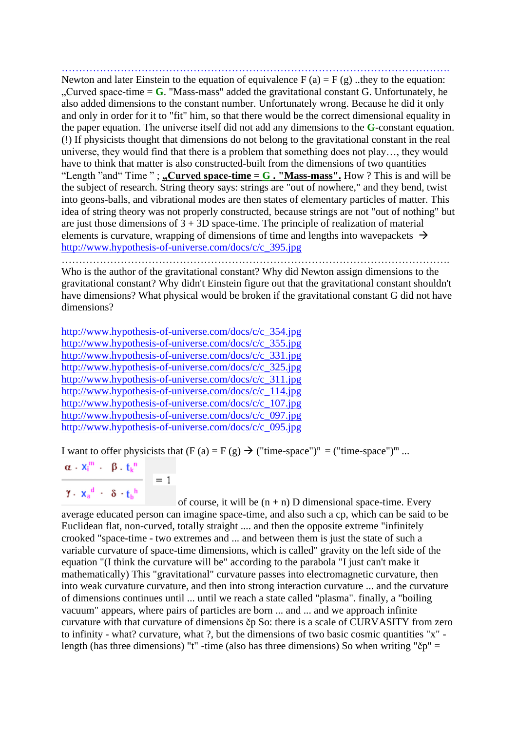…………………………………………………………………………………………………. Newton and later Einstein to the equation of equivalence  $F (a) = F (g)$ . they to the equation: "Curved space-time  $=$  G. "Mass-mass" added the gravitational constant G. Unfortunately, he also added dimensions to the constant number. Unfortunately wrong. Because he did it only and only in order for it to "fit" him, so that there would be the correct dimensional equality in the paper equation. The universe itself did not add any dimensions to the **G**-constant equation. (!) If physicists thought that dimensions do not belong to the gravitational constant in the real universe, they would find that there is a problem that something does not play…, they would have to think that matter is also constructed-built from the dimensions of two quantities "Length "and" Time ";  $\text{c}$ **Curved space-time = G. "Mass-mass".** How ? This is and will be the subject of research. String theory says: strings are "out of nowhere," and they bend, twist into geons-balls, and vibrational modes are then states of elementary particles of matter. This idea of string theory was not properly constructed, because strings are not "out of nothing" but are just those dimensions of  $3 + 3D$  space-time. The principle of realization of material elements is curvature, wrapping of dimensions of time and lengths into wavepackets  $\rightarrow$ [http://www.hypothesis-of-universe.com/docs/c/c\\_395.jpg](http://www.hypothesis-of-universe.com/docs/c/c_395.jpg)

………………………………………………………………………………………………….

Who is the author of the gravitational constant? Why did Newton assign dimensions to the gravitational constant? Why didn't Einstein figure out that the gravitational constant shouldn't have dimensions? What physical would be broken if the gravitational constant G did not have dimensions?

[http://www.hypothesis-of-universe.com/docs/c/c\\_354.jpg](http://www.hypothesis-of-universe.com/docs/c/c_354.jpg) [http://www.hypothesis-of-universe.com/docs/c/c\\_355.jpg](http://www.hypothesis-of-universe.com/docs/c/c_355.jpg) [http://www.hypothesis-of-universe.com/docs/c/c\\_331.jpg](http://www.hypothesis-of-universe.com/docs/c/c_331.jpg) [http://www.hypothesis-of-universe.com/docs/c/c\\_325.jpg](http://www.hypothesis-of-universe.com/docs/c/c_325.jpg) [http://www.hypothesis-of-universe.com/docs/c/c\\_311.jpg](http://www.hypothesis-of-universe.com/docs/c/c_311.jpg) [http://www.hypothesis-of-universe.com/docs/c/c\\_114.jpg](http://www.hypothesis-of-universe.com/docs/c/c_114.jpg) [http://www.hypothesis-of-universe.com/docs/c/c\\_107.jpg](http://www.hypothesis-of-universe.com/docs/c/c_107.jpg) [http://www.hypothesis-of-universe.com/docs/c/c\\_097.jpg](http://www.hypothesis-of-universe.com/docs/c/c_097.jpg) [http://www.hypothesis-of-universe.com/docs/c/c\\_095.jpg](http://www.hypothesis-of-universe.com/docs/c/c_095.jpg)

 $= 1$ 

I want to offer physicists that  $(F (a) = F (g) \rightarrow ("time-space")^n = ("time-space")^m$  ...

$$
\alpha \cdot x_i^m + \beta \cdot t_k^m
$$

 $\gamma$ .  $x_a^d$  ·  $\delta$  ·  $t_b^h$ 

of course, it will be  $(n + n)$  D dimensional space-time. Every average educated person can imagine space-time, and also such a cp, which can be said to be Euclidean flat, non-curved, totally straight .... and then the opposite extreme "infinitely crooked "space-time - two extremes and ... and between them is just the state of such a variable curvature of space-time dimensions, which is called" gravity on the left side of the equation "(I think the curvature will be" according to the parabola "I just can't make it mathematically) This "gravitational" curvature passes into electromagnetic curvature, then into weak curvature curvature, and then into strong interaction curvature ... and the curvature of dimensions continues until ... until we reach a state called "plasma". finally, a "boiling vacuum" appears, where pairs of particles are born ... and ... and we approach infinite curvature with that curvature of dimensions čp So: there is a scale of CURVASITY from zero to infinity - what? curvature, what ?, but the dimensions of two basic cosmic quantities "x" length (has three dimensions) "t" -time (also has three dimensions) So when writing " $\breve{c}p$ " =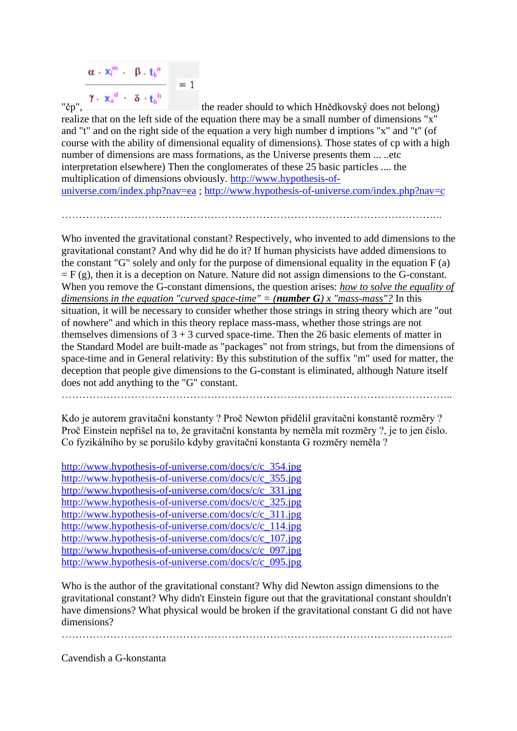$$
\frac{\alpha \cdot x_i^m + \beta \cdot t_k^n}{\gamma \cdot x_a^d + \delta \cdot t_b^h} = 1
$$

"čp",  $\frac{1}{2}$ " the reader should to which Hnědkovský does not belong) realize that on the left side of the equation there may be a small number of dimensions "x" and "t" and on the right side of the equation a very high number d imptions "x" and "t" (of course with the ability of dimensional equality of dimensions). Those states of cp with a high number of dimensions are mass formations, as the Universe presents them ... ..etc interpretation elsewhere) Then the conglomerates of these 25 basic particles .... the multiplication of dimensions obviously. [http://www.hypothesis-of](http://www.hypothesis-of-universe.com/index.php?nav=ea)[universe.com/index.php?nav=ea](http://www.hypothesis-of-universe.com/index.php?nav=ea) ;<http://www.hypothesis-of-universe.com/index.php?nav=c>

………………………………………………………………………………………………..

Who invented the gravitational constant? Respectively, who invented to add dimensions to the gravitational constant? And why did he do it? If human physicists have added dimensions to the constant "G" solely and only for the purpose of dimensional equality in the equation  $F(a)$  $=$  F (g), then it is a deception on Nature. Nature did not assign dimensions to the G-constant. When you remove the G-constant dimensions, the question arises: *how to solve the equality of dimensions in the equation "curved space-time" = (<i>number G*) x "mass-mass"? In this situation, it will be necessary to consider whether those strings in string theory which are "out of nowhere" and which in this theory replace mass-mass, whether those strings are not themselves dimensions of  $3 + 3$  curved space-time. Then the 26 basic elements of matter in the Standard Model are built-made as "packages" not from strings, but from the dimensions of space-time and in General relativity: By this substitution of the suffix "m" used for matter, the deception that people give dimensions to the G-constant is eliminated, although Nature itself does not add anything to the "G" constant.

…………………………………………………………………………………………………..

Kdo je autorem gravitační konstanty ? Proč Newton přidělil gravitační konstantě rozměry ? Proč Einstein nepřišel na to, že gravitační konstanta by neměla mít rozměry ?, je to jen číslo. Co fyzikálního by se porušilo kdyby gravitační konstanta G rozměry neměla ?

[http://www.hypothesis-of-universe.com/docs/c/c\\_354.jpg](http://www.hypothesis-of-universe.com/docs/c/c_354.jpg) [http://www.hypothesis-of-universe.com/docs/c/c\\_355.jpg](http://www.hypothesis-of-universe.com/docs/c/c_355.jpg) [http://www.hypothesis-of-universe.com/docs/c/c\\_331.jpg](http://www.hypothesis-of-universe.com/docs/c/c_331.jpg) [http://www.hypothesis-of-universe.com/docs/c/c\\_325.jpg](http://www.hypothesis-of-universe.com/docs/c/c_325.jpg) [http://www.hypothesis-of-universe.com/docs/c/c\\_311.jpg](http://www.hypothesis-of-universe.com/docs/c/c_311.jpg) [http://www.hypothesis-of-universe.com/docs/c/c\\_114.jpg](http://www.hypothesis-of-universe.com/docs/c/c_114.jpg) [http://www.hypothesis-of-universe.com/docs/c/c\\_107.jpg](http://www.hypothesis-of-universe.com/docs/c/c_107.jpg) [http://www.hypothesis-of-universe.com/docs/c/c\\_097.jpg](http://www.hypothesis-of-universe.com/docs/c/c_097.jpg) [http://www.hypothesis-of-universe.com/docs/c/c\\_095.jpg](http://www.hypothesis-of-universe.com/docs/c/c_095.jpg)

Who is the author of the gravitational constant? Why did Newton assign dimensions to the gravitational constant? Why didn't Einstein figure out that the gravitational constant shouldn't have dimensions? What physical would be broken if the gravitational constant G did not have dimensions?

Cavendish a G-konstanta